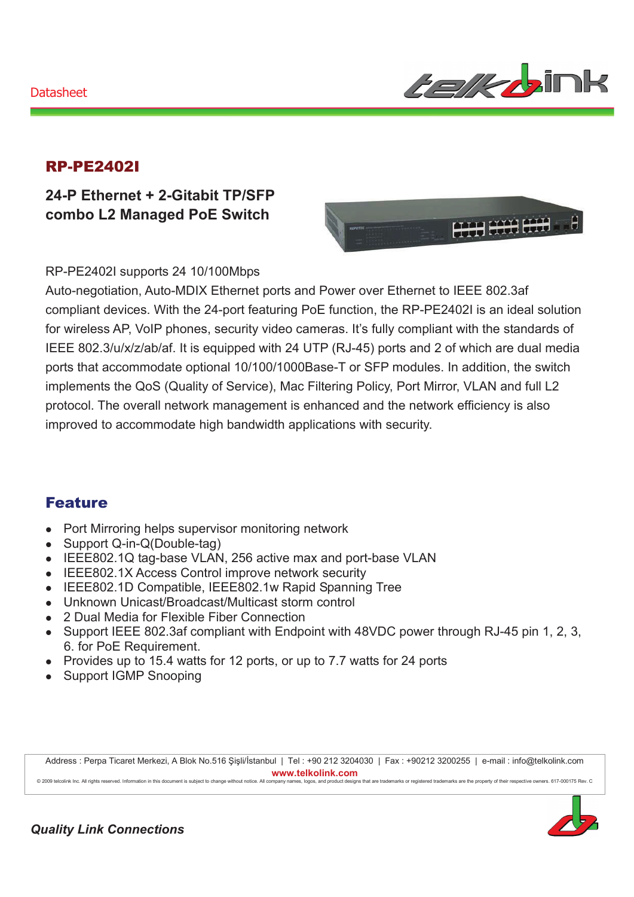### Datasheet



### RP-PE2402I

**24-P Ethernet + 2-Gitabit TP/SFP combo L2 Managed PoE Switch** 



RP-PE2402I supports 24 10/100Mbps

Auto-negotiation, Auto-MDIX Ethernet ports and Power over Ethernet to IEEE 802.3af compliant devices. With the 24-port featuring PoE function, the RP-PE2402I is an ideal solution for wireless AP, VoIP phones, security video cameras. It's fully compliant with the standards of IEEE 802.3/u/x/z/ab/af. It is equipped with 24 UTP (RJ-45) ports and 2 of which are dual media ports that accommodate optional 10/100/1000Base-T or SFP modules. In addition, the switch implements the QoS (Quality of Service), Mac Filtering Policy, Port Mirror, VLAN and full L2 protocol. The overall network management is enhanced and the network efficiency is also improved to accommodate high bandwidth applications with security.

### Feature

- Port Mirroring helps supervisor monitoring network
- Support  $Q$ -in- $Q(Double-taq)$
- IEEE802.1Q tag-base VLAN, 256 active max and port-base VLAN
- IEEE802.1X Access Control improve network security
- IEEE802.1D Compatible, IEEE802.1w Rapid Spanning Tree
- Unknown Unicast/Broadcast/Multicast storm control
- 2 Dual Media for Flexible Fiber Connection
- Support IEEE 802.3af compliant with Endpoint with 48VDC power through RJ-45 pin 1, 2, 3, 6. for PoE Requirement.
- Provides up to 15.4 watts for 12 ports, or up to 7.7 watts for 24 ports
- Support IGMP Snooping

Address : Perpa Ticaret Merkezi, A Blok No.516 Şişli/İstanbul | Tel : +90 212 3204030 | Fax : +90212 3200255 | e-mail : info@telkolink.com  $www.telkolink.com$ 



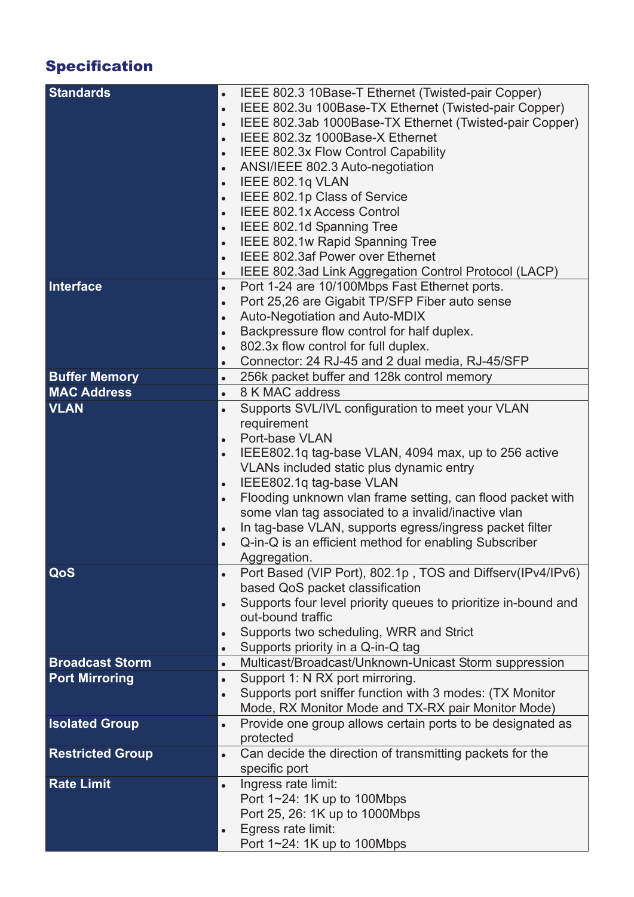# Specification

| <b>Standards</b>        | IEEE 802.3 10Base-T Ethernet (Twisted-pair Copper)<br>$\bullet$             |
|-------------------------|-----------------------------------------------------------------------------|
|                         | IEEE 802.3u 100Base-TX Ethernet (Twisted-pair Copper)<br>$\bullet$          |
|                         | IEEE 802.3ab 1000Base-TX Ethernet (Twisted-pair Copper)<br>$\bullet$        |
|                         | IEEE 802.3z 1000Base-X Ethernet<br>$\bullet$                                |
|                         | IEEE 802.3x Flow Control Capability                                         |
|                         | $\bullet$                                                                   |
|                         | ANSI/IEEE 802.3 Auto-negotiation<br>$\bullet$                               |
|                         | IEEE 802.1q VLAN<br>$\bullet$                                               |
|                         | IEEE 802.1p Class of Service<br>$\bullet$                                   |
|                         | <b>IEEE 802.1x Access Control</b><br>$\bullet$                              |
|                         | IEEE 802.1d Spanning Tree<br>$\bullet$                                      |
|                         | IEEE 802.1w Rapid Spanning Tree<br>$\bullet$                                |
|                         | IEEE 802.3af Power over Ethernet<br>$\bullet$                               |
|                         | IEEE 802.3ad Link Aggregation Control Protocol (LACP)<br>$\bullet$          |
| Interface               | Port 1-24 are 10/100Mbps Fast Ethernet ports.<br>$\bullet$                  |
|                         | Port 25,26 are Gigabit TP/SFP Fiber auto sense<br>$\bullet$                 |
|                         | Auto-Negotiation and Auto-MDIX<br>$\bullet$                                 |
|                         | Backpressure flow control for half duplex.<br>$\bullet$                     |
|                         | 802.3x flow control for full duplex.<br>$\bullet$                           |
|                         | Connector: 24 RJ-45 and 2 dual media, RJ-45/SFP                             |
|                         | $\bullet$                                                                   |
| <b>Buffer Memory</b>    | 256k packet buffer and 128k control memory<br>$\bullet$                     |
| <b>MAC Address</b>      | 8 K MAC address<br>$\bullet$                                                |
| <b>VLAN</b>             | Supports SVL/IVL configuration to meet your VLAN<br>$\bullet$               |
|                         | requirement                                                                 |
|                         | Port-base VLAN<br>$\bullet$                                                 |
|                         | IEEE802.1q tag-base VLAN, 4094 max, up to 256 active<br>$\bullet$           |
|                         | VLANs included static plus dynamic entry                                    |
|                         | IEEE802.1q tag-base VLAN<br>$\bullet$                                       |
|                         | Flooding unknown vlan frame setting, can flood packet with<br>$\bullet$     |
|                         | some vlan tag associated to a invalid/inactive vlan                         |
|                         | In tag-base VLAN, supports egress/ingress packet filter<br>$\bullet$        |
|                         | Q-in-Q is an efficient method for enabling Subscriber<br>$\bullet$          |
|                         | Aggregation.                                                                |
| QoS                     |                                                                             |
|                         | Port Based (VIP Port), 802.1p, TOS and Diffserv(IPv4/IPv6)                  |
|                         | based QoS packet classification                                             |
|                         | Supports four level priority queues to prioritize in-bound and<br>$\bullet$ |
|                         | out-bound traffic                                                           |
|                         | Supports two scheduling, WRR and Strict<br>$\bullet$                        |
|                         | Supports priority in a Q-in-Q tag<br>$\bullet$                              |
| <b>Broadcast Storm</b>  | Multicast/Broadcast/Unknown-Unicast Storm suppression<br>$\bullet$          |
| <b>Port Mirroring</b>   | Support 1: N RX port mirroring.<br>$\bullet$                                |
|                         | Supports port sniffer function with 3 modes: (TX Monitor<br>$\bullet$       |
|                         | Mode, RX Monitor Mode and TX-RX pair Monitor Mode)                          |
| <b>Isolated Group</b>   | Provide one group allows certain ports to be designated as<br>$\bullet$     |
|                         | protected                                                                   |
| <b>Restricted Group</b> | Can decide the direction of transmitting packets for the<br>$\bullet$       |
|                         | specific port                                                               |
| <b>Rate Limit</b>       | Ingress rate limit:<br>$\bullet$                                            |
|                         | Port $1 \sim 24$ : 1K up to 100Mbps                                         |
|                         | Port 25, 26: 1K up to 1000Mbps                                              |
|                         |                                                                             |
|                         | Egress rate limit:<br>$\bullet$                                             |
|                         | Port $1 \sim 24$ : 1K up to 100Mbps                                         |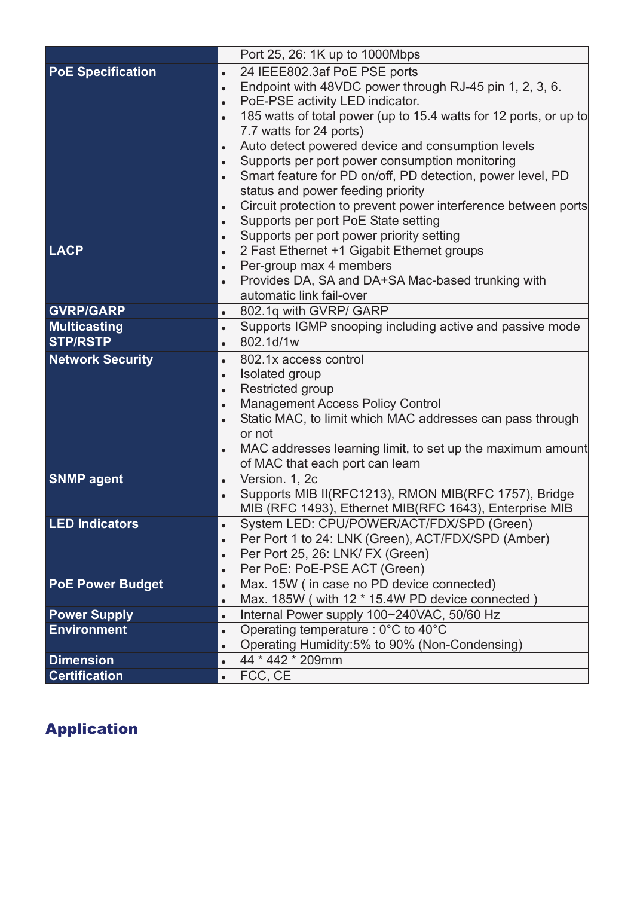|                          | Port 25, 26: 1K up to 1000Mbps                                                                                              |
|--------------------------|-----------------------------------------------------------------------------------------------------------------------------|
| <b>PoE Specification</b> | 24 IEEE802.3af PoE PSE ports<br>$\bullet$                                                                                   |
|                          | Endpoint with 48VDC power through RJ-45 pin 1, 2, 3, 6.<br>$\bullet$                                                        |
|                          | PoE-PSE activity LED indicator.<br>$\bullet$                                                                                |
|                          | 185 watts of total power (up to 15.4 watts for 12 ports, or up to<br>$\bullet$                                              |
|                          | 7.7 watts for 24 ports)                                                                                                     |
|                          | Auto detect powered device and consumption levels<br>$\bullet$                                                              |
|                          | Supports per port power consumption monitoring<br>$\bullet$                                                                 |
|                          | Smart feature for PD on/off, PD detection, power level, PD<br>$\bullet$                                                     |
|                          | status and power feeding priority                                                                                           |
|                          | Circuit protection to prevent power interference between ports<br>$\bullet$                                                 |
|                          | Supports per port PoE State setting<br>$\bullet$                                                                            |
|                          | Supports per port power priority setting<br>$\bullet$                                                                       |
| <b>LACP</b>              | 2 Fast Ethernet +1 Gigabit Ethernet groups<br>$\bullet$                                                                     |
|                          | Per-group max 4 members<br>$\bullet$                                                                                        |
|                          | Provides DA, SA and DA+SA Mac-based trunking with<br>$\bullet$                                                              |
|                          | automatic link fail-over                                                                                                    |
| <b>GVRP/GARP</b>         | 802.1q with GVRP/ GARP<br>$\bullet$                                                                                         |
| <b>Multicasting</b>      | Supports IGMP snooping including active and passive mode<br>$\bullet$                                                       |
| <b>STP/RSTP</b>          | 802.1d/1w<br>$\bullet$                                                                                                      |
| <b>Network Security</b>  | 802.1x access control<br>$\bullet$                                                                                          |
|                          | Isolated group<br>$\bullet$                                                                                                 |
|                          | Restricted group<br>$\bullet$                                                                                               |
|                          | <b>Management Access Policy Control</b><br>$\bullet$                                                                        |
|                          | Static MAC, to limit which MAC addresses can pass through<br>$\bullet$                                                      |
|                          | or not                                                                                                                      |
|                          | MAC addresses learning limit, to set up the maximum amount<br>$\bullet$                                                     |
|                          | of MAC that each port can learn                                                                                             |
| <b>SNMP agent</b>        | Version. 1, 2c<br>$\bullet$                                                                                                 |
|                          | Supports MIB II(RFC1213), RMON MIB(RFC 1757), Bridge<br>$\bullet$<br>MIB (RFC 1493), Ethernet MIB(RFC 1643), Enterprise MIB |
| <b>LED Indicators</b>    | System LED: CPU/POWER/ACT/FDX/SPD (Green)                                                                                   |
|                          | Per Port 1 to 24: LNK (Green), ACT/FDX/SPD (Amber)                                                                          |
|                          | $\bullet$<br>Per Port 25, 26: LNK/ FX (Green)<br>$\bullet$                                                                  |
|                          | Per PoE: PoE-PSE ACT (Green)<br>$\bullet$                                                                                   |
| <b>PoE Power Budget</b>  | Max. 15W (in case no PD device connected)<br>$\bullet$                                                                      |
|                          | Max. 185W (with 12 * 15.4W PD device connected)<br>$\bullet$                                                                |
| <b>Power Supply</b>      | Internal Power supply 100~240VAC, 50/60 Hz<br>$\bullet$                                                                     |
| <b>Environment</b>       | Operating temperature : $0^{\circ}$ C to 40 $^{\circ}$ C<br>$\bullet$                                                       |
|                          | Operating Humidity:5% to 90% (Non-Condensing)<br>$\bullet$                                                                  |
| <b>Dimension</b>         | 44 * 442 * 209mm<br>$\bullet$                                                                                               |
| <b>Certification</b>     | FCC, CE<br>$\bullet$                                                                                                        |

## Application